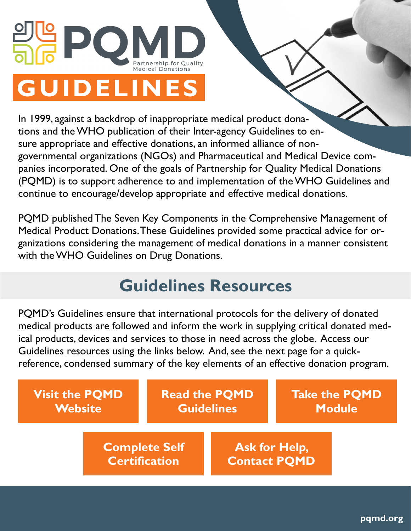

In 1999, against a backdrop of inappropriate medical product donations and the WHO publication of their Inter-agency Guidelines to ensure appropriate and effective donations, an informed alliance of nongovernmental organizations (NGOs) and Pharmaceutical and Medical Device companies incorporated. One of the goals of Partnership for Quality Medical Donations (PQMD) is to support adherence to and implementation of the WHO Guidelines and continue to encourage/develop appropriate and effective medical donations.

PQMD published The Seven Key Components in the Comprehensive Management of Medical Product Donations. These Guidelines provided some practical advice for organizations considering the management of medical donations in a manner consistent with the WHO Guidelines on Drug Donations.

## **Guidelines Resources**

PQMD's Guidelines ensure that international protocols for the delivery of donated medical products are followed and inform the work in supplying critical donated medical products, devices and services to those in need across the globe. Access our Guidelines resources using the links below. And, see the next page for a quickreference, condensed summary of the key elements of an effective donation program.